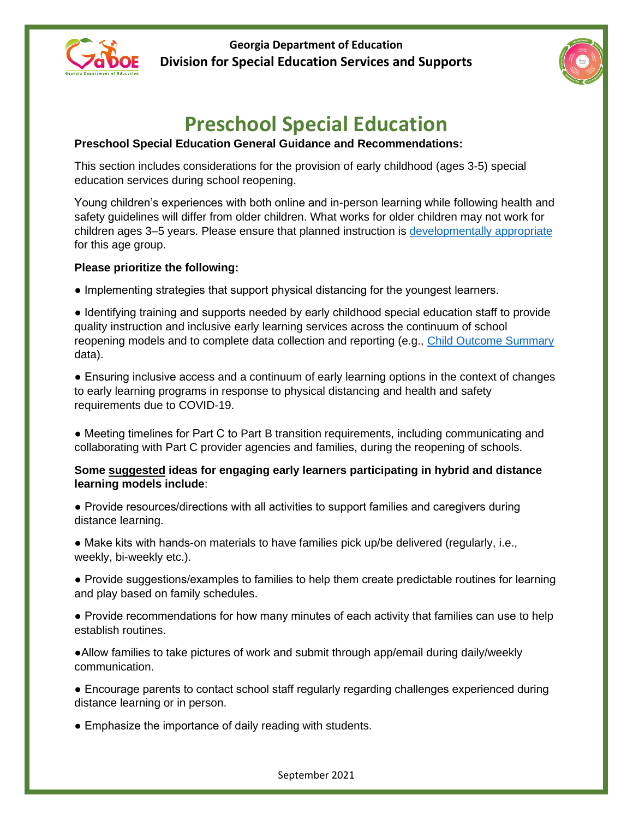



# **Preschool Special Education**

# **Preschool Special Education General Guidance and Recommendations:**

This section includes considerations for the provision of early childhood (ages 3-5) special education services during school reopening.

Young children's experiences with both online and in-person learning while following health and safety guidelines will differ from older children. What works for older children may not work for children ages 3–5 years. Please ensure that planned instruction is [developmentally appropriate](http://gelds.decal.ga.gov/Default.aspx) for this age group.

## **Please prioritize the following:**

● Implementing strategies that support physical distancing for the youngest learners.

● Identifying training and supports needed by early childhood special education staff to provide quality instruction and inclusive early learning services across the continuum of school reopening models and to complete data collection and reporting (e.g., [Child Outcome Summary](https://unc.az1.qualtrics.com/jfe/form/SV_8k8MRoa4doTjDHT?Q_JFE=qdg) data).

● Ensuring inclusive access and a continuum of early learning options in the context of changes to early learning programs in response to physical distancing and health and safety requirements due to COVID-19.

• Meeting timelines for Part C to Part B transition requirements, including communicating and collaborating with Part C provider agencies and families, during the reopening of schools.

#### **Some suggested ideas for engaging early learners participating in hybrid and distance learning models include**:

● Provide resources/directions with all activities to support families and caregivers during distance learning.

● Make kits with hands-on materials to have families pick up/be delivered (regularly, i.e., weekly, bi-weekly etc.).

● Provide suggestions/examples to families to help them create predictable routines for learning and play based on family schedules.

● Provide recommendations for how many minutes of each activity that families can use to help establish routines.

●Allow families to take pictures of work and submit through app/email during daily/weekly communication.

● Encourage parents to contact school staff regularly regarding challenges experienced during distance learning or in person.

• Emphasize the importance of daily reading with students.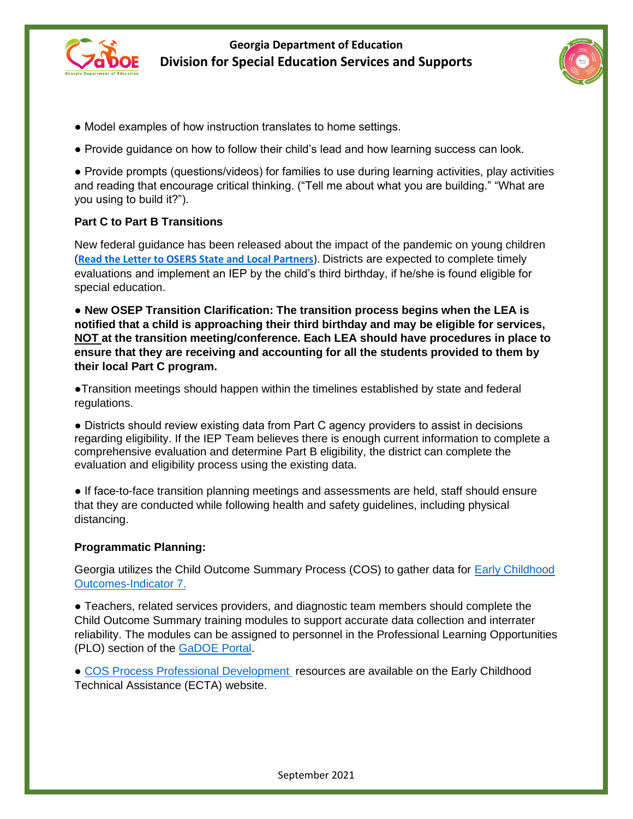



- Model examples of how instruction translates to home settings.
- Provide guidance on how to follow their child's lead and how learning success can look.

● Provide prompts (questions/videos) for families to use during learning activities, play activities and reading that encourage critical thinking. ("Tell me about what you are building." "What are you using to build it?").

## **Part C to Part B Transitions**

New federal guidance has been released about the impact of the pandemic on young children (**[Read the Letter to OSERS State and Local Partners](https://lnks.gd/l/eyJhbGciOiJIUzI1NiJ9.eyJidWxsZXRpbl9saW5rX2lkIjoxMDMsInVyaSI6ImJwMjpjbGljayIsImJ1bGxldGluX2lkIjoiMjAyMTA4MjQuNDQ5NzIyNzEiLCJ1cmwiOiJodHRwczovL3NpdGVzLmVkLmdvdi9pZGVhL2ZpbGVzL3J0cy1pZGVhLTA4LTI0LTIwMjEucGRmP3V0bV9jb250ZW50PSZ1dG1fbWVkaXVtPWVtYWlsJnV0bV9uYW1lPSZ1dG1fc291cmNlPWdvdmRlbGl2ZXJ5JnV0bV90ZXJtPSJ9.g89tB-j5xErywmpdBBwLh_Rudur4hmasUjmSmqgY604/s/633490851/br/111330925590-l)**). Districts are expected to complete timely evaluations and implement an IEP by the child's third birthday, if he/she is found eligible for special education.

● **New OSEP Transition Clarification: The transition process begins when the LEA is notified that a child is approaching their third birthday and may be eligible for services, NOT at the transition meeting/conference. Each LEA should have procedures in place to ensure that they are receiving and accounting for all the students provided to them by their local Part C program.** 

●Transition meetings should happen within the timelines established by state and federal regulations.

● Districts should review existing data from Part C agency providers to assist in decisions regarding eligibility. If the IEP Team believes there is enough current information to complete a comprehensive evaluation and determine Part B eligibility, the district can complete the evaluation and eligibility process using the existing data.

● If face-to-face transition planning meetings and assessments are held, staff should ensure that they are conducted while following health and safety guidelines, including physical distancing.

#### **Programmatic Planning:**

Georgia utilizes the Child Outcome Summary Process (COS) to gather data for [Early Childhood](https://www.gadoe.org/Curriculum-Instruction-and-Assessment/Special-Education-Services/Pages/Early-Childhood-Outcomes---Indicator-7.aspx)  [Outcomes-Indicator 7.](https://www.gadoe.org/Curriculum-Instruction-and-Assessment/Special-Education-Services/Pages/Early-Childhood-Outcomes---Indicator-7.aspx) 

● Teachers, related services providers, and diagnostic team members should complete the Child Outcome Summary training modules to support accurate data collection and interrater reliability. The modules can be assigned to personnel in the Professional Learning Opportunities (PLO) section of the [GaDOE Portal.](https://portal.doe.k12.ga.us/login.aspx)

● [COS Process Professional Development](https://ectacenter.org/eco/pages/cospd.asp) resources are available on the Early Childhood Technical Assistance (ECTA) website.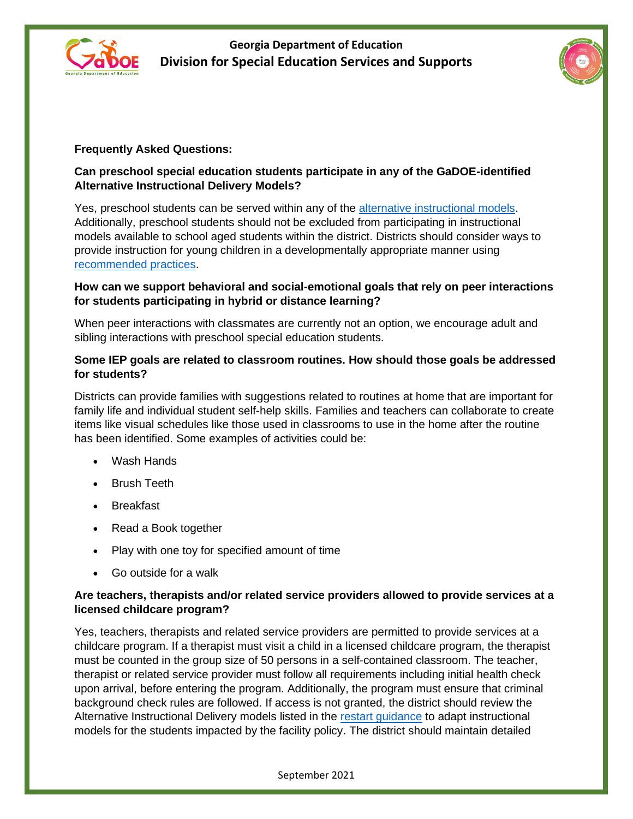



# **Frequently Asked Questions:**

#### **Can preschool special education students participate in any of the GaDOE-identified Alternative Instructional Delivery Models?**

Yes, preschool students can be served within any of the [alternative instructional models.](https://www.gadoe.org/External-Affairs-and-Policy/communications/Documents/Special%20Education%20Restart%20Guidance%20(7-30-2020).pdf) Additionally, preschool students should not be excluded from participating in instructional models available to school aged students within the district. Districts should consider ways to provide instruction for young children in a developmentally appropriate manner using [recommended practices.](https://www.dec-sped.org/dec-recommended-practices)

#### **How can we support behavioral and social-emotional goals that rely on peer interactions for students participating in hybrid or distance learning?**

When peer interactions with classmates are currently not an option, we encourage adult and sibling interactions with preschool special education students.

#### **Some IEP goals are related to classroom routines. How should those goals be addressed for students?**

Districts can provide families with suggestions related to routines at home that are important for family life and individual student self-help skills. Families and teachers can collaborate to create items like visual schedules like those used in classrooms to use in the home after the routine has been identified. Some examples of activities could be:

- Wash Hands
- Brush Teeth
- Breakfast
- Read a Book together
- Play with one toy for specified amount of time
- Go outside for a walk

#### **Are teachers, therapists and/or related service providers allowed to provide services at a licensed childcare program?**

Yes, teachers, therapists and related service providers are permitted to provide services at a childcare program. If a therapist must visit a child in a licensed childcare program, the therapist must be counted in the group size of 50 persons in a self-contained classroom. The teacher, therapist or related service provider must follow all requirements including initial health check upon arrival, before entering the program. Additionally, the program must ensure that criminal background check rules are followed. If access is not granted, the district should review the Alternative Instructional Delivery models listed in the [restart guidance](https://www.gadoe.org/External-Affairs-and-Policy/communications/Documents/Special%20Education%20Restart%20Guidance%20(7-30-2020).pdf) to adapt instructional models for the students impacted by the facility policy. The district should maintain detailed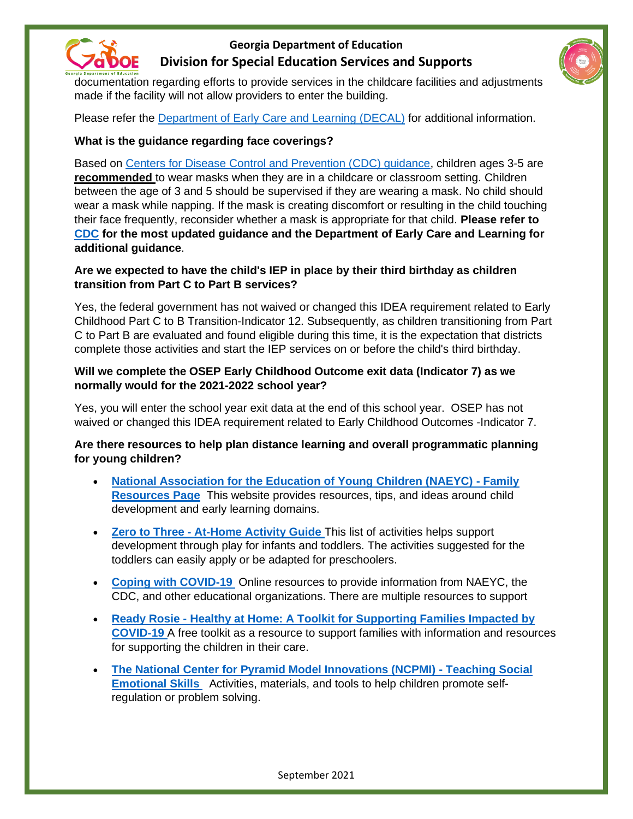



documentation regarding efforts to provide services in the childcare facilities and adjustments made if the facility will not allow providers to enter the building.

Please refer the [Department of Early Care and Learning \(DECAL\)](http://www.decal.ga.gov/) for additional information.

## **What is the guidance regarding face coverings?**

Based on [Centers for Disease Control and Prevention \(CDC\) guidance,](https://www.cdc.gov/coronavirus/2019-ncov/faq.html) children ages 3-5 are **recommended** to wear masks when they are in a childcare or classroom setting. Children between the age of 3 and 5 should be supervised if they are wearing a mask. No child should wear a mask while napping. If the mask is creating discomfort or resulting in the child touching their face frequently, reconsider whether a mask is appropriate for that child. **Please refer to [CDC](https://www.cdc.gov/coronavirus/2019-ncov/prevent-getting-sick/cloth-face-cover-guidance.html#who-should-wear) for the most updated guidance and the Department of Early Care and Learning for additional guidance**.

## **Are we expected to have the child's IEP in place by their third birthday as children transition from Part C to Part B services?**

Yes, the federal government has not waived or changed this IDEA requirement related to Early Childhood Part C to B Transition-Indicator 12. Subsequently, as children transitioning from Part C to Part B are evaluated and found eligible during this time, it is the expectation that districts complete those activities and start the IEP services on or before the child's third birthday.

## **Will we complete the OSEP Early Childhood Outcome exit data (Indicator 7) as we normally would for the 2021-2022 school year?**

Yes, you will enter the school year exit data at the end of this school year. OSEP has not waived or changed this IDEA requirement related to Early Childhood Outcomes -Indicator 7.

## **Are there resources to help plan distance learning and overall programmatic planning for young children?**

- **[National Association for the Education of Young Children \(NAEYC\) -](https://www.naeyc.org/our-work/for-families) Family [Resources Page](https://www.naeyc.org/our-work/for-families)** This website provides resources, tips, and ideas around child development and early learning domains.
- **Zero to Three - [At-Home Activity Guide](https://www.zerotothree.org/resources/3264-at-home-activity-guide)** This list of activities helps support development through play for infants and toddlers. The activities suggested for the toddlers can easily apply or be adapted for preschoolers.
- **[Coping with COVID-19](https://www.naeyc.org/resources/topics/covid-19)** Online resources to provide information from NAEYC, the CDC, and other educational organizations. There are multiple resources to support
- **Ready Rosie - Healthy at [Home: A Toolkit for Supporting Families Impacted by](https://healthyathome.readyrosie.com/)  [COVID-19](https://healthyathome.readyrosie.com/)** A free toolkit as a resource to support families with information and resources for supporting the children in their care.
- **[The National Center for Pyramid Model Innovations \(NCPMI\) -](https://challengingbehavior.cbcs.usf.edu/Implementation/family.html) Teaching Social [Emotional Skills](https://challengingbehavior.cbcs.usf.edu/Implementation/family.html)** Activities, materials, and tools to help children promote selfregulation or problem solving.